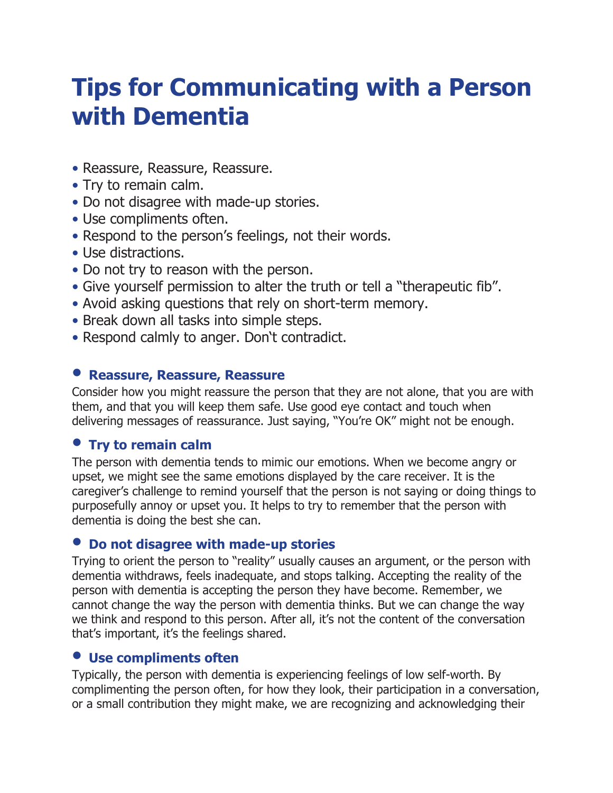# **Tips for Communicating with a Person with Dementia**

- Reassure, Reassure, Reassure.
- Try to remain calm.
- Do not disagree with made-up stories.
- Use compliments often.
- Respond to the person's feelings, not their words.
- Use distractions.
- Do not try to reason with the person.
- Give yourself permission to alter the truth or tell a "therapeutic fib".
- Avoid asking questions that rely on short-term memory.
- Break down all tasks into simple steps.
- Respond calmly to anger. Don't contradict.

## • **Reassure, Reassure, Reassure**

Consider how you might reassure the person that they are not alone, that you are with them, and that you will keep them safe. Use good eye contact and touch when delivering messages of reassurance. Just saying, "You're OK" might not be enough.

# • **Try to remain calm**

The person with dementia tends to mimic our emotions. When we become angry or upset, we might see the same emotions displayed by the care receiver. It is the caregiver's challenge to remind yourself that the person is not saying or doing things to purposefully annoy or upset you. It helps to try to remember that the person with dementia is doing the best she can.

## • **Do not disagree with made-up stories**

Trying to orient the person to "reality" usually causes an argument, or the person with dementia withdraws, feels inadequate, and stops talking. Accepting the reality of the person with dementia is accepting the person they have become. Remember, we cannot change the way the person with dementia thinks. But we can change the way we think and respond to this person. After all, it's not the content of the conversation that's important, it's the feelings shared.

# • **Use compliments often**

Typically, the person with dementia is experiencing feelings of low self-worth. By complimenting the person often, for how they look, their participation in a conversation, or a small contribution they might make, we are recognizing and acknowledging their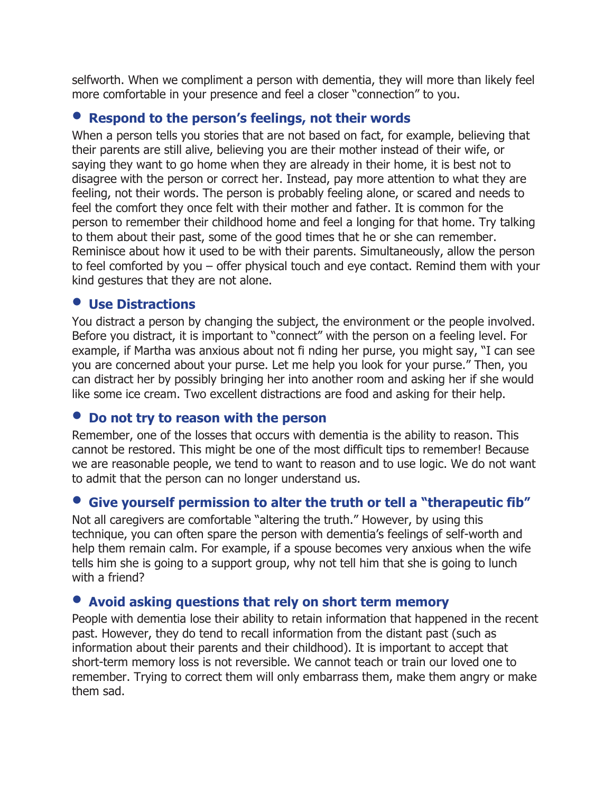selfworth. When we compliment a person with dementia, they will more than likely feel more comfortable in your presence and feel a closer "connection" to you.

#### • **Respond to the person's feelings, not their words**

When a person tells you stories that are not based on fact, for example, believing that their parents are still alive, believing you are their mother instead of their wife, or saying they want to go home when they are already in their home, it is best not to disagree with the person or correct her. Instead, pay more attention to what they are feeling, not their words. The person is probably feeling alone, or scared and needs to feel the comfort they once felt with their mother and father. It is common for the person to remember their childhood home and feel a longing for that home. Try talking to them about their past, some of the good times that he or she can remember. Reminisce about how it used to be with their parents. Simultaneously, allow the person to feel comforted by you – offer physical touch and eye contact. Remind them with your kind gestures that they are not alone.

#### • **Use Distractions**

You distract a person by changing the subject, the environment or the people involved. Before you distract, it is important to "connect" with the person on a feeling level. For example, if Martha was anxious about not fi nding her purse, you might say, "I can see you are concerned about your purse. Let me help you look for your purse." Then, you can distract her by possibly bringing her into another room and asking her if she would like some ice cream. Two excellent distractions are food and asking for their help.

#### • **Do not try to reason with the person**

Remember, one of the losses that occurs with dementia is the ability to reason. This cannot be restored. This might be one of the most difficult tips to remember! Because we are reasonable people, we tend to want to reason and to use logic. We do not want to admit that the person can no longer understand us.

## • **Give yourself permission to alter the truth or tell a "therapeutic fib"**

Not all caregivers are comfortable "altering the truth." However, by using this technique, you can often spare the person with dementia's feelings of self-worth and help them remain calm. For example, if a spouse becomes very anxious when the wife tells him she is going to a support group, why not tell him that she is going to lunch with a friend?

## • **Avoid asking questions that rely on short term memory**

People with dementia lose their ability to retain information that happened in the recent past. However, they do tend to recall information from the distant past (such as information about their parents and their childhood). It is important to accept that short-term memory loss is not reversible. We cannot teach or train our loved one to remember. Trying to correct them will only embarrass them, make them angry or make them sad.